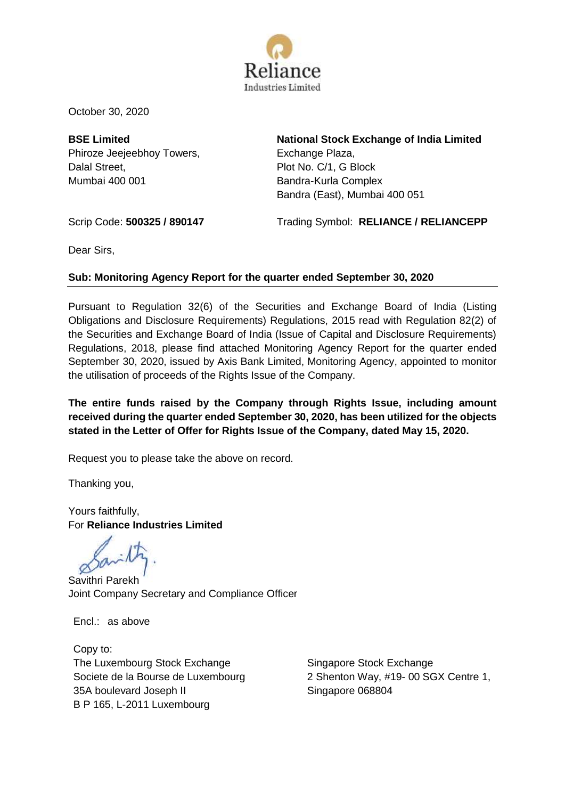

October 30, 2020

**BSE Limited** Phiroze Jeejeebhoy Towers, Dalal Street, Mumbai 400 001

**National Stock Exchange of India Limited** Exchange Plaza, Plot No. C/1, G Block Bandra-Kurla Complex Bandra (East), Mumbai 400 051

Scrip Code: **500325 / 890147** Trading Symbol: **RELIANCE / RELIANCEPP**

Dear Sirs,

# **Sub: Monitoring Agency Report for the quarter ended September 30, 2020**

Pursuant to Regulation 32(6) of the Securities and Exchange Board of India (Listing Obligations and Disclosure Requirements) Regulations, 2015 read with Regulation 82(2) of the Securities and Exchange Board of India (Issue of Capital and Disclosure Requirements) Regulations, 2018, please find attached Monitoring Agency Report for the quarter ended September 30, 2020, issued by Axis Bank Limited, Monitoring Agency, appointed to monitor the utilisation of proceeds of the Rights Issue of the Company.

**The entire funds raised by the Company through Rights Issue, including amount received during the quarter ended September 30, 2020, has been utilized for the objects stated in the Letter of Offer for Rights Issue of the Company, dated May 15, 2020.**

Request you to please take the above on record.

Thanking you,

Yours faithfully, For **Reliance Industries Limited**

Savithri Parekh Joint Company Secretary and Compliance Officer

Encl.: as above

Copy to: The Luxembourg Stock Exchange Societe de la Bourse de Luxembourg 35A boulevard Joseph II B P 165, L-2011 Luxembourg

Singapore Stock Exchange 2 Shenton Way, #19- 00 SGX Centre 1, Singapore 068804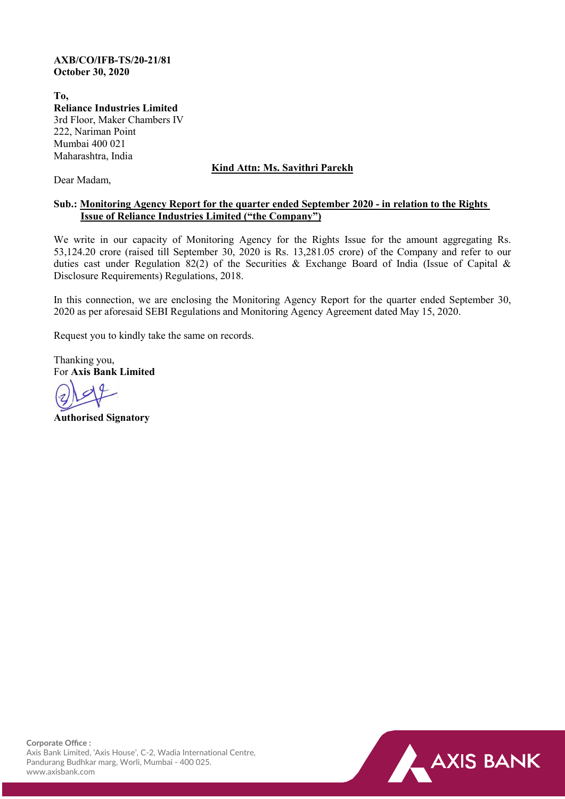### **AXB/CO/IFB-TS/20-21/81 October 30, 2020**

**To, Reliance Industries Limited** 3rd Floor, Maker Chambers IV 222, Nariman Point Mumbai 400 021 Maharashtra, India

# **Kind Attn: Ms. Savithri Parekh**

Dear Madam,

## **Sub.: Monitoring Agency Report for the quarter ended September 2020 - in relation to the Rights Issue of Reliance Industries Limited ("the Company")**

We write in our capacity of Monitoring Agency for the Rights Issue for the amount aggregating Rs. 53,124.20 crore (raised till September 30, 2020 is Rs. 13,281.05 crore) of the Company and refer to our duties cast under Regulation 82(2) of the Securities & Exchange Board of India (Issue of Capital & Disclosure Requirements) Regulations, 2018.

In this connection, we are enclosing the Monitoring Agency Report for the quarter ended September 30, 2020 as per aforesaid SEBI Regulations and Monitoring Agency Agreement dated May 15, 2020.

Request you to kindly take the same on records.

Thanking you, For **Axis Bank Limited**

**Authorised Signatory**

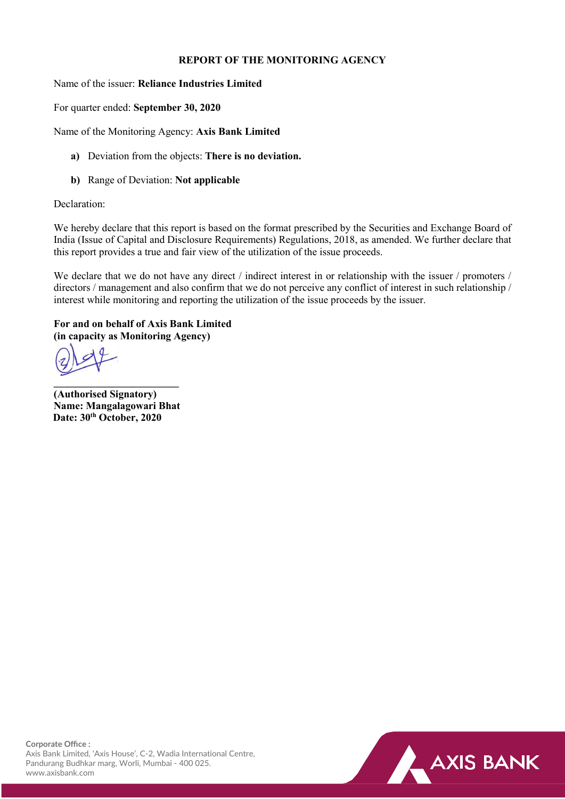## **REPORT OF THE MONITORING AGENCY**

Name of the issuer: **Reliance Industries Limited**

For quarter ended: **September 30, 2020**

Name of the Monitoring Agency: **Axis Bank Limited**

- **a)** Deviation from the objects: **There is no deviation.**
- **b)** Range of Deviation: **Not applicable**

#### Declaration:

We hereby declare that this report is based on the format prescribed by the Securities and Exchange Board of India (Issue of Capital and Disclosure Requirements) Regulations, 2018, as amended. We further declare that this report provides a true and fair view of the utilization of the issue proceeds.

We declare that we do not have any direct / indirect interest in or relationship with the issuer / promoters / directors / management and also confirm that we do not perceive any conflict of interest in such relationship / interest while monitoring and reporting the utilization of the issue proceeds by the issuer.

## **For and on behalf of Axis Bank Limited (in capacity as Monitoring Agency)**

**\_\_\_\_\_\_\_\_\_\_\_\_\_\_\_\_\_\_\_\_\_\_\_\_ (Authorised Signatory) Name: Mangalagowari Bhat Date: 30th October, 2020**

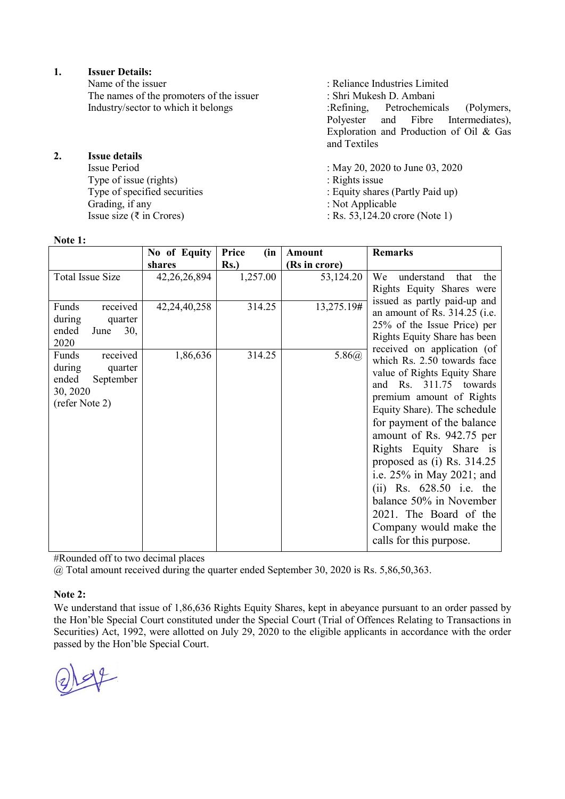**1. Issuer Details:**

The names of the promoters of the issuer : Shri Mukesh D. Ambani<br>Industry/sector to which it belongs : Refining, Petrochemicals

**2. Issue details**

Issue Period : May 20, 2020 to June 03, 2020<br>Type of issue (rights) : Rights issue Type of issue (rights)<br>Type of specified securities Type of specified securities : Equity shares (Partly Paid up)<br>Grading, if any : Not Applicable Grading, if any : Not Applicable<br>
Issue size ( $\overline{\tau}$  in Crores) : Rs. 53,124.20 cm

**Note 1:**

: Reliance Industries Limited Industry/sector to which it belongs :Refining, Petrochemicals (Polymers, Polyester and Fibre Intermediates), Fibre Intermediates), Exploration and Production of Oil & Gas and Textiles

- 
- $:$  Rs. 53,124.20 crore (Note 1)

| <b>TAALE T.</b>         |                 |               |               |                                 |
|-------------------------|-----------------|---------------|---------------|---------------------------------|
|                         | No of Equity    | Price<br>(in) | Amount        | <b>Remarks</b>                  |
|                         | shares          | $Rs.$ )       | (Rs in crore) |                                 |
| <b>Total Issue Size</b> | 42,26,26,894    | 1,257.00      | 53,124.20     | understand<br>We<br>that<br>the |
|                         |                 |               |               | Rights Equity Shares were       |
|                         |                 |               |               | issued as partly paid-up and    |
| Funds<br>received       | 42, 24, 40, 258 | 314.25        | 13,275.19#    | an amount of Rs. 314.25 (i.e.   |
| during<br>quarter       |                 |               |               | 25% of the Issue Price) per     |
| ended<br>June<br>30,    |                 |               |               | Rights Equity Share has been    |
| 2020                    |                 |               |               | received on application (of     |
| received<br>Funds       | 1,86,636        | 314.25        | 5.86(a)       | which Rs. 2.50 towards face     |
| during<br>quarter       |                 |               |               | value of Rights Equity Share    |
| ended<br>September      |                 |               |               | Rs. 311.75 towards<br>and       |
| 30, 2020                |                 |               |               | premium amount of Rights        |
| (refer Note 2)          |                 |               |               | Equity Share). The schedule     |
|                         |                 |               |               | for payment of the balance      |
|                         |                 |               |               | amount of Rs. 942.75 per        |
|                         |                 |               |               | Rights Equity Share is          |
|                         |                 |               |               | proposed as (i) Rs. 314.25      |
|                         |                 |               |               |                                 |
|                         |                 |               |               | i.e. 25% in May 2021; and       |
|                         |                 |               |               | (ii) Rs. $628.50$ i.e. the      |
|                         |                 |               |               | balance 50% in November         |
|                         |                 |               |               | 2021. The Board of the          |
|                         |                 |               |               | Company would make the          |
|                         |                 |               |               | calls for this purpose.         |
|                         |                 |               |               |                                 |

#Rounded off to two decimal places

@ Total amount received during the quarter ended September 30, 2020 is Rs. 5,86,50,363.

## **Note 2:**

We understand that issue of 1,86,636 Rights Equity Shares, kept in abeyance pursuant to an order passed by the Hon'ble Special Court constituted under the Special Court (Trial of Offences Relating to Transactions in Securities) Act, 1992, were allotted on July 29, 2020 to the eligible applicants in accordance with the order passed by the Hon'ble Special Court.

 $49$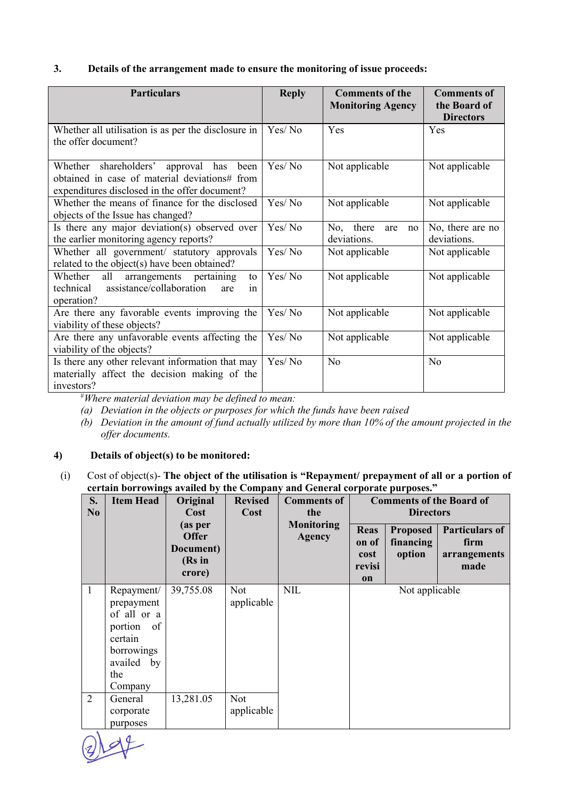## **3. Details of the arrangement made to ensure the monitoring of issue proceeds:**

| <b>Particulars</b>                                                                                                                        | <b>Reply</b> | <b>Comments of the</b><br><b>Monitoring Agency</b> | <b>Comments of</b><br>the Board of<br><b>Directors</b> |  |
|-------------------------------------------------------------------------------------------------------------------------------------------|--------------|----------------------------------------------------|--------------------------------------------------------|--|
| Whether all utilisation is as per the disclosure in<br>the offer document?                                                                | Yes/No       | Yes                                                | Yes                                                    |  |
| Whether shareholders' approval has been<br>obtained in case of material deviations# from<br>expenditures disclosed in the offer document? | Yes/No       | Not applicable                                     | Not applicable                                         |  |
| Whether the means of finance for the disclosed<br>objects of the Issue has changed?                                                       | Yes/No       | Not applicable                                     | Not applicable                                         |  |
| Is there any major deviation(s) observed over<br>the earlier monitoring agency reports?                                                   | Yes/No       | No, there<br>are<br>no<br>deviations.              | No, there are no<br>deviations.                        |  |
| Whether all government/ statutory approvals<br>related to the object(s) have been obtained?                                               | Yes/No       | Not applicable                                     | Not applicable                                         |  |
| Whether<br>all<br>arrangements pertaining<br>to<br>technical assistance/collaboration<br>are<br>1n<br>operation?                          | Yes/No       | Not applicable                                     | Not applicable                                         |  |
| Are there any favorable events improving the<br>viability of these objects?                                                               | Yes/No       | Not applicable                                     | Not applicable                                         |  |
| Are there any unfavorable events affecting the<br>viability of the objects?                                                               | Yes/No       | Not applicable                                     | Not applicable                                         |  |
| Is there any other relevant information that may<br>materially affect the decision making of the<br>investors?                            | Yes/No       | N <sub>o</sub>                                     | N <sub>o</sub>                                         |  |

# *Where material deviation may be defined to mean:*

- *(a) Deviation in the objects or purposes for which the funds have been raised*
- *(b) Deviation in the amount of fund actually utilized by more than 10% of the amount projected in the offer documents.*

#### **4) Details of object(s) to be monitored:**

(i) Cost of object(s)- **The object of the utilisation is "Repayment/ prepayment of all or a portion of certain borrowings availed by the Company and General corporate purposes."**

| S.<br>N <sub>0</sub> | <b>Item Head</b>                                                                                                  | Original<br>Cost                                         | <b>Revised</b><br>Cost   | <b>Comments of</b><br>the   | <b>Comments of the Board of</b><br><b>Directors</b> |                                        |                                                       |
|----------------------|-------------------------------------------------------------------------------------------------------------------|----------------------------------------------------------|--------------------------|-----------------------------|-----------------------------------------------------|----------------------------------------|-------------------------------------------------------|
|                      |                                                                                                                   | (as per<br><b>Offer</b><br>Document)<br>(Rs in<br>crore) |                          | Monitoring<br><b>Agency</b> | <b>Reas</b><br>on of<br>cost<br>revisi<br>on        | <b>Proposed</b><br>financing<br>option | <b>Particulars of</b><br>firm<br>arrangements<br>made |
| $\mathbf{1}$         | Repayment/<br>prepayment<br>of all or a<br>portion<br>of<br>certain<br>borrowings<br>availed by<br>the<br>Company | 39,755.08                                                | <b>Not</b><br>applicable | <b>NIL</b>                  | Not applicable                                      |                                        |                                                       |
| $\overline{2}$       | General<br>corporate<br>purposes                                                                                  | 13,281.05                                                | <b>Not</b><br>applicable |                             |                                                     |                                        |                                                       |